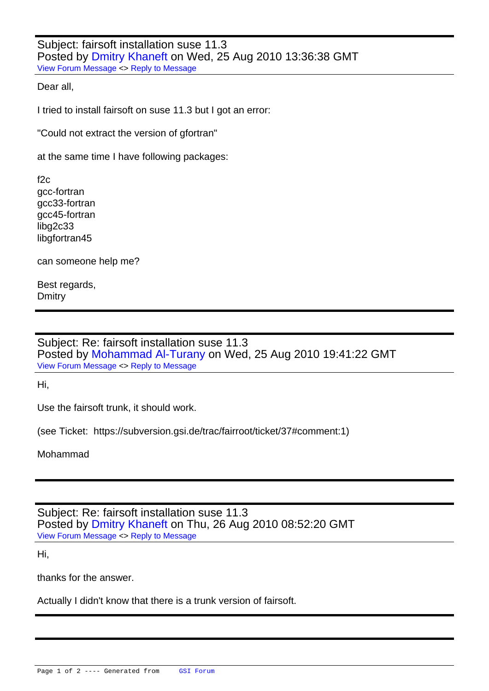Subject: fairsoft installation suse 11.3 Posted by Dmitry Khaneft on Wed, 25 Aug 2010 13:36:38 GMT View Forum Message <> Reply to Message

Dear all,

[I tried to install fair](https://forum.gsi.de/index.php?t=rview&th=2912&goto=10953#msg_10953)sof[t on suse 11.3 b](https://forum.gsi.de/index.php?t=post&reply_to=10953)ut I got an error:

"Could not extract the version of gfortran"

at the same time I have following packages:

 $f2c$ gcc-fortran gcc33-fortran gcc45-fortran libg2c33 libgfortran45

can someone help me?

Best regards, **Dmitry** 

Subject: Re: fairsoft installation suse 11.3 Posted by Mohammad Al-Turany on Wed, 25 Aug 2010 19:41:22 GMT View Forum Message <> Reply to Message

Hi,

[Use the fairsoft tru](https://forum.gsi.de/index.php?t=rview&th=2912&goto=10954#msg_10954)nk[, it should work.](https://forum.gsi.de/index.php?t=post&reply_to=10954)

(see Ticket: https://subversion.gsi.de/trac/fairroot/ticket/37#comment:1)

Mohammad

Subject: Re: fairsoft installation suse 11.3 Posted by Dmitry Khaneft on Thu, 26 Aug 2010 08:52:20 GMT View Forum Message <> Reply to Message

Hi,

[thanks for the answ](https://forum.gsi.de/index.php?t=rview&th=2912&goto=10956#msg_10956)e[r.](https://forum.gsi.de/index.php?t=post&reply_to=10956)

Actually I didn't know that there is a trunk version of fairsoft.